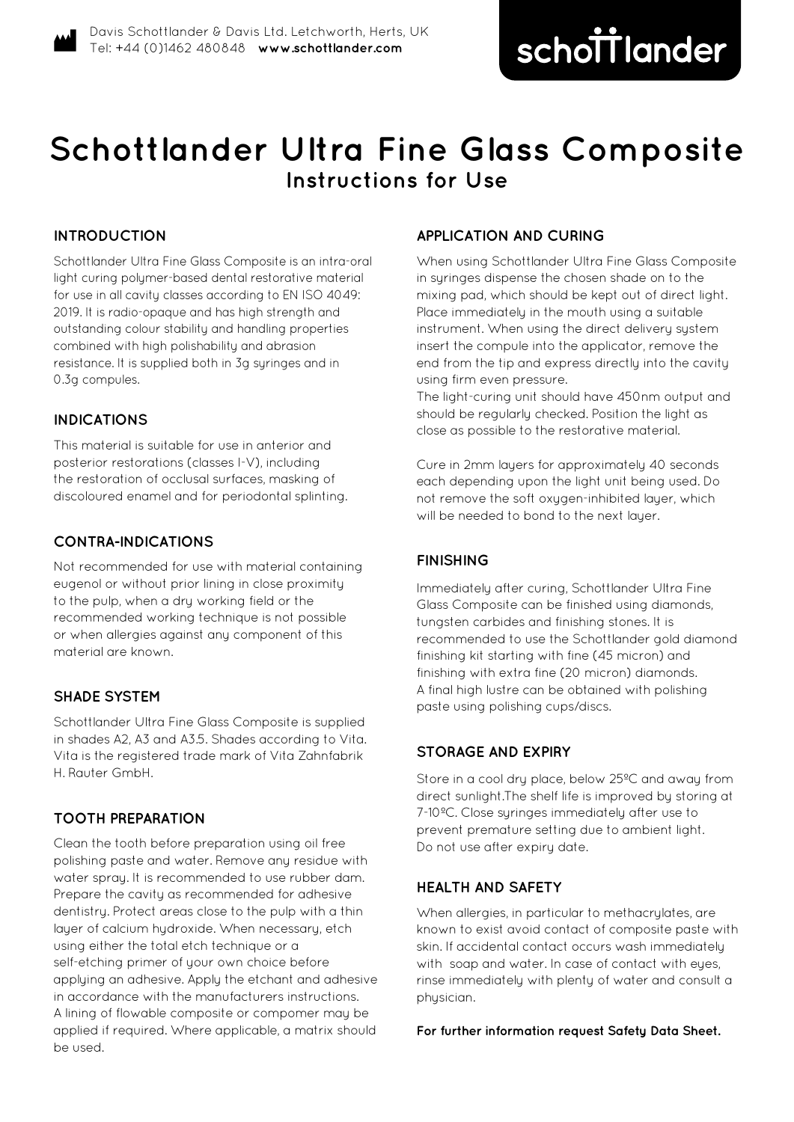# **Schottlander Ultra Fine Glass Composite Instructions for Use**

# **INTRODUCTION**

Schottlander Ultra Fine Glass Composite is an intra-oral light curing polymer-based dental restorative material for use in all cavity classes according to EN ISO 4049: 2019. It is radio-opaque and has high strength and outstanding colour stability and handling properties combined with high polishability and abrasion resistance. It is supplied both in 3g syringes and in 0.3g compules.

### **INDICATIONS**

This material is suitable for use in anterior and posterior restorations (classes I-V), including the restoration of occlusal surfaces, masking of discoloured enamel and for periodontal splinting.

# **CONTRA-INDICATIONS**

Not recommended for use with material containing eugenol or without prior lining in close proximity to the pulp, when a dry working field or the recommended working technique is not possible or when allergies against any component of this material are known.

### **SHADE SYSTEM**

Schottlander Ultra Fine Glass Composite is supplied in shades A2, A3 and A3.5. Shades according to Vita. Vita is the registered trade mark of Vita Zahnfabrik H. Rauter GmbH.

### **TOOTH PREPARATION**

Clean the tooth before preparation using oil free polishing paste and water. Remove any residue with water spray. It is recommended to use rubber dam. Prepare the cavity as recommended for adhesive dentistry. Protect areas close to the pulp with a thin layer of calcium hydroxide. When necessary, etch using either the total etch technique or a self-etching primer of your own choice before applying an adhesive. Apply the etchant and adhesive in accordance with the manufacturers instructions. A lining of flowable composite or compomer may be applied if required. Where applicable, a matrix should be used.

# **APPLICATION AND CURING**

When using Schottlander Ultra Fine Glass Composite in syringes dispense the chosen shade on to the mixing pad, which should be kept out of direct light. Place immediately in the mouth using a suitable instrument. When using the direct delivery system insert the compule into the applicator, remove the end from the tip and express directly into the cavity using firm even pressure.

The light-curing unit should have 450nm output and should be regularly checked. Position the light as close as possible to the restorative material.

Cure in 2mm layers for approximately 40 seconds each depending upon the light unit being used. Do not remove the soft oxygen-inhibited layer, which will be needed to bond to the next layer.

#### **FINISHING**

Immediately after curing, Schottlander Ultra Fine Glass Composite can be finished using diamonds, tungsten carbides and finishing stones. It is recommended to use the Schottlander gold diamond finishing kit starting with fine (45 micron) and finishing with extra fine (20 micron) diamonds. A final high lustre can be obtained with polishing paste using polishing cups/discs.

### **STORAGE AND EXPIRY**

Store in a cool dry place, below 25ºC and away from direct sunlight.The shelf life is improved by storing at 7-10ºC. Close syringes immediately after use to prevent premature setting due to ambient light. Do not use after expiry date.

## **HEALTH AND SAFETY**

When allergies, in particular to methacrulates, are known to exist avoid contact of composite paste with skin. If accidental contact occurs wash immediately with soap and water. In case of contact with eyes, rinse immediately with plenty of water and consult a physician.

**For further information request Safety Data Sheet.**